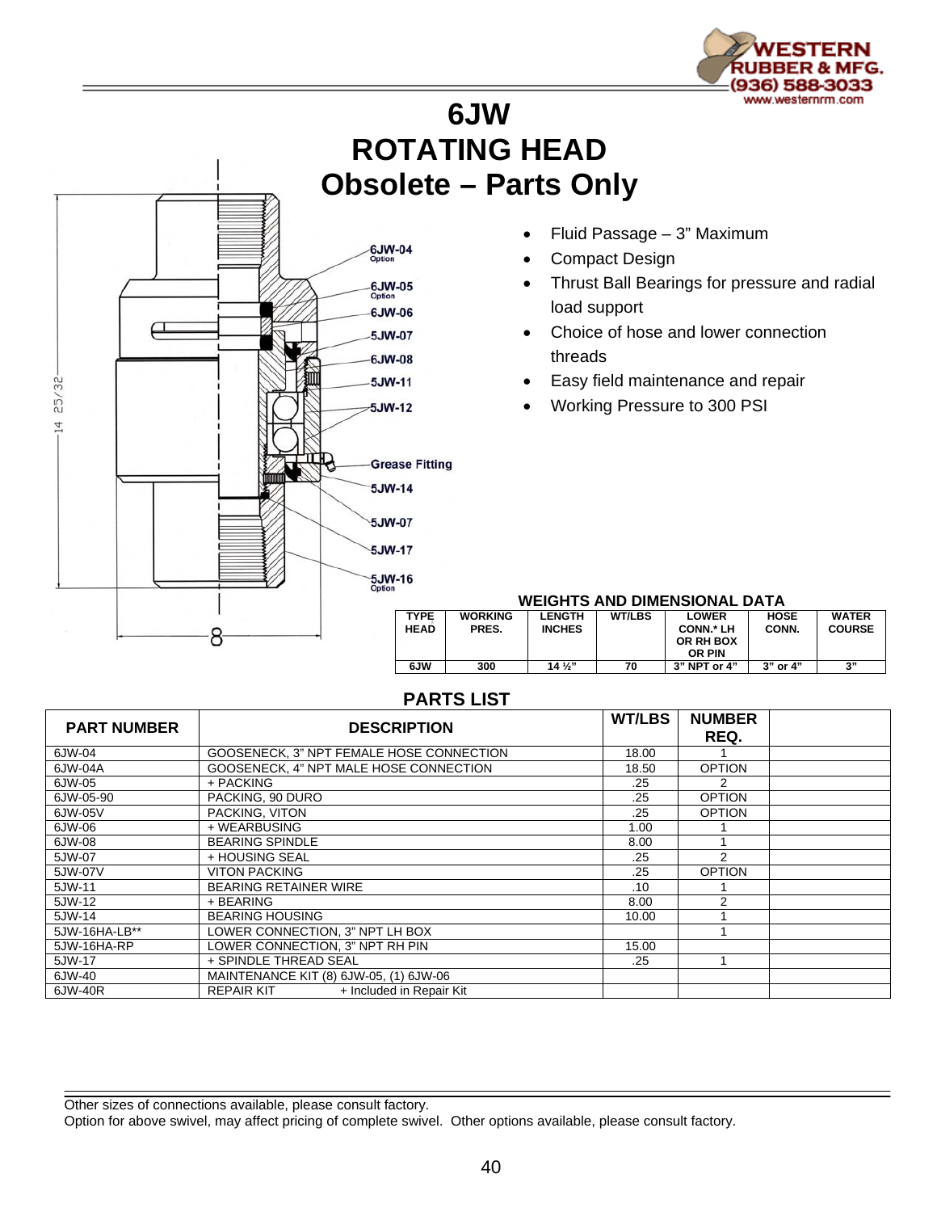

## **6JW ROTATING HEAD Obsolete – Parts Only**



- Fluid Passage 3" Maximum
- Compact Design
- Thrust Ball Bearings for pressure and radial load support
- Choice of hose and lower connection threads
- Easy field maintenance and repair
- Working Pressure to 300 PSI

| <b>WEIGHTS AND DIMENSIONAL DATA</b> |                |               |               |                  |             |               |  |  |  |
|-------------------------------------|----------------|---------------|---------------|------------------|-------------|---------------|--|--|--|
|                                     | <b>WORKING</b> | <b>LENGTH</b> | <b>WT/LBS</b> | <b>LOWER</b>     | <b>HOSE</b> | <b>WATER</b>  |  |  |  |
|                                     | PRES.          | <b>INCHES</b> |               | <b>CONN.* LH</b> | CONN.       | <b>COURSE</b> |  |  |  |
|                                     |                |               |               | OR RH BOX        |             |               |  |  |  |
|                                     |                |               |               | OR PIN           |             |               |  |  |  |

## **PARTS LIST**

| <b>PART NUMBER</b> | <b>DESCRIPTION</b>                            | <b>WT/LBS</b> | <b>NUMBER</b><br>REQ. |  |
|--------------------|-----------------------------------------------|---------------|-----------------------|--|
| 6JW-04             | GOOSENECK, 3" NPT FEMALE HOSE CONNECTION      | 18.00         |                       |  |
| 6JW-04A            | GOOSENECK, 4" NPT MALE HOSE CONNECTION        | 18.50         | <b>OPTION</b>         |  |
| 6JW-05             | + PACKING                                     | .25           | 2                     |  |
| 6JW-05-90          | PACKING, 90 DURO                              | .25           | <b>OPTION</b>         |  |
| 6JW-05V            | PACKING, VITON                                | .25           | <b>OPTION</b>         |  |
| 6JW-06             | + WEARBUSING                                  | 1.00          |                       |  |
| 6JW-08             | <b>BEARING SPINDLE</b>                        | 8.00          |                       |  |
| 5JW-07             | + HOUSING SEAL                                | .25           | $\mathcal{P}$         |  |
| 5JW-07V            | <b>VITON PACKING</b>                          | .25           | <b>OPTION</b>         |  |
| 5JW-11             | <b>BEARING RETAINER WIRE</b>                  | .10           |                       |  |
| 5JW-12             | + BEARING                                     | 8.00          | 2                     |  |
| 5JW-14             | <b>BEARING HOUSING</b>                        | 10.00         |                       |  |
| 5JW-16HA-LB**      | LOWER CONNECTION, 3" NPT LH BOX               |               |                       |  |
| 5JW-16HA-RP        | LOWER CONNECTION, 3" NPT RH PIN               | 15.00         |                       |  |
| 5JW-17             | + SPINDLE THREAD SEAL                         | .25           |                       |  |
| 6JW-40             | MAINTENANCE KIT (8) 6JW-05, (1) 6JW-06        |               |                       |  |
| 6JW-40R            | + Included in Repair Kit<br><b>REPAIR KIT</b> |               |                       |  |

Other sizes of connections available, please consult factory.

Option for above swivel, may affect pricing of complete swivel. Other options available, please consult factory.